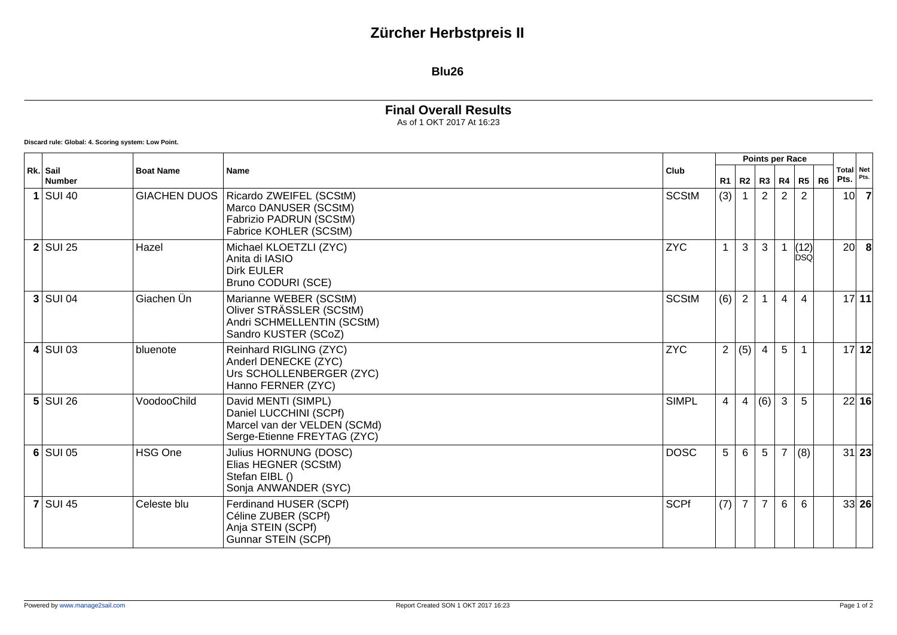## **Zürcher Herbstpreis II**

## **Blu26**

## **Final Overall Results** As of 1 OKT 2017 At 16:23

**Discard rule: Global: 4. Scoring system: Low Point.**

|  |                           | <b>Boat Name</b><br><b>Name</b> |                                                                                                              |              |                | Points per Race |                |                        |                |                   |                 |       |
|--|---------------------------|---------------------------------|--------------------------------------------------------------------------------------------------------------|--------------|----------------|-----------------|----------------|------------------------|----------------|-------------------|-----------------|-------|
|  | Rk. Sail<br><b>Number</b> |                                 | Club                                                                                                         |              |                |                 |                | R1   R2   R3   R4   R5 | R <sub>6</sub> | Total Net<br>Pts. | Pts.            |       |
|  | $1$ SUI 40                | <b>GIACHEN DUOS</b>             | Ricardo ZWEIFEL (SCStM)<br>Marco DANUSER (SCStM)<br>Fabrizio PADRUN (SCStM)<br>Fabrice KOHLER (SCStM)        | <b>SCStM</b> | (3)            | $\mathbf{1}$    | 2              | 2                      | 2              |                   | 10 <sup>1</sup> | -7    |
|  | $2$ SUI 25                | Hazel                           | Michael KLOETZLI (ZYC)<br>Anita di IASIO<br><b>Dirk EULER</b><br>Bruno CODURI (SCE)                          | <b>ZYC</b>   | $\mathbf{1}$   | 3               | 3              |                        | $(12)$<br>DSQ  |                   | 20 <sup>1</sup> | 8     |
|  | $3$ SUI 04                | Giachen Ün                      | Marianne WEBER (SCStM)<br>Oliver STRÄSSLER (SCStM)<br>Andri SCHMELLENTIN (SCStM)<br>Sandro KUSTER (SCoZ)     | <b>SCStM</b> | (6)            | $\overline{2}$  |                | 4                      | $\overline{4}$ |                   |                 | 17 11 |
|  | $4$ SUI 03                | bluenote                        | Reinhard RIGLING (ZYC)<br>Anderl DENECKE (ZYC)<br>Urs SCHOLLENBERGER (ZYC)<br>Hanno FERNER (ZYC)             | <b>ZYC</b>   |                | 2 (5)           | $\overline{4}$ | 5                      | $\overline{1}$ |                   |                 | 17 12 |
|  | $5$ SUI 26                | VoodooChild                     | David MENTI (SIMPL)<br>Daniel LUCCHINI (SCPf)<br>Marcel van der VELDEN (SCMd)<br>Serge-Etienne FREYTAG (ZYC) | <b>SIMPL</b> | $\overline{4}$ | 4               | (6)            | 3                      | 5              |                   |                 | 22 16 |
|  | $6$ SUI 05                | <b>HSG One</b>                  | Julius HORNUNG (DOSC)<br>Elias HEGNER (SCStM)<br>Stefan EIBL ()<br>Sonja ANWANDER (SYC)                      | <b>DOSC</b>  | 5              | 6               | 5              | 7                      | (8)            |                   |                 | 31 23 |
|  | $7$ SUI 45                | Celeste blu                     | Ferdinand HUSER (SCPf)<br>Céline ZUBER (SCPf)<br>Anja STEIN (SCPf)<br>Gunnar STEIN (SCPf)                    | <b>SCPf</b>  | (7)            | $\overline{7}$  | $\overline{7}$ | 6                      | 6              |                   |                 | 33 26 |